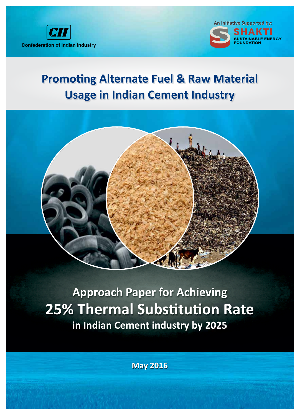



# **Promoting Alternate Fuel & Raw Material Usage in Indian Cement Industry**



**Approach Paper for Achieving 25% Thermal Substitution Rate** in Indian Cement industry by 2025

**May 2016**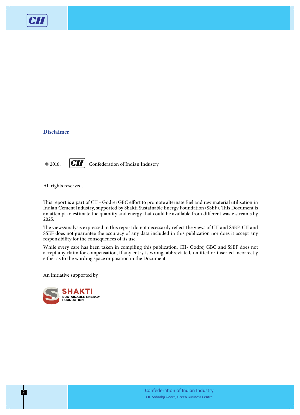

# **Disclaimer**

 $\circ$  2016, **CII** Confederation of Indian Industry

All rights reserved.

This report is a part of CII - Godrej GBC effort to promote alternate fuel and raw material utilisation in Indian Cement Industry, supported by Shakti Sustainable Energy Foundation (SSEF). This Document is an attempt to estimate the quantity and energy that could be available from different waste streams by 2025.

The views/analysis expressed in this report do not necessarily reflect the views of CII and SSEF. CII and SSEF does not guarantee the accuracy of any data included in this publication nor does it accept any responsibility for the consequences of its use.

While every care has been taken in compiling this publication, CII- Godrej GBC and SSEF does not accept any claim for compensation, if any entry is wrong, abbreviated, omitted or inserted incorrectly either as to the wording space or position in the Document.

An initiative supported by

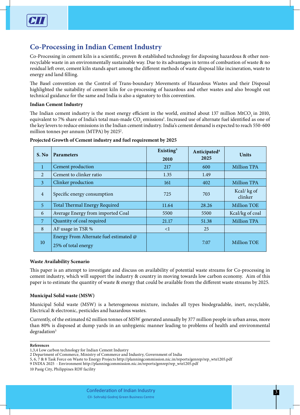# **Co-Processing in Indian Cement Industry**

Co-Processing in cement kiln is a scientific, proven & established technology for disposing hazardous & other nonrecyclable waste in an environmentally sustainable way. Due to its advantages in terms of combustion of waste & no residual left over, cement kiln stands apart among the different methods of waste disposal like incineration, waste to energy and land filling.

The Basel convention on the Control of Trans-boundary Movements of Hazardous Wastes and their Disposal highlighted the suitability of cement kiln for co-processing of hazardous and other wastes and also brought out technical guidance for the same and India is also a signatory to this convention.

## **Indian Cement Industry**

The Indian cement industry is the most energy efficient in the world, emitted about 137 million MtCO, in 2010, equivalent to 7% share of India's total man-made CO<sub>2</sub> emissions<sup>1</sup>. Increased use of alternate fuel identified as one of the key levers to reduce emissions in the Indian cement industry. India's cement demand is expected to reach 550-600 million tonnes per annum (MTPA) by 2025<sup>2</sup>.

# **Projected Growth of Cement industry and fuel requirement by 2025**

| S. No          | <b>Parameters</b>                                             | Existing $3$<br>2010 | Anticipated <sup>4</sup><br>2025 | <b>Units</b>          |
|----------------|---------------------------------------------------------------|----------------------|----------------------------------|-----------------------|
| $\mathbf{1}$   | Cement production                                             | 217                  | 600                              | <b>Million TPA</b>    |
| $\overline{2}$ | Cement to clinker ratio                                       | 1.35                 | 1.49                             |                       |
| $\overline{3}$ | Clinker production                                            | 161                  | 402                              | <b>Million TPA</b>    |
| $\overline{4}$ | Specific energy consumption                                   | 725                  | 703                              | Kcal/kg of<br>clinker |
| $\overline{5}$ | Total Thermal Energy Required                                 | 11.64                | 28.26                            | <b>Million TOE</b>    |
| 6              | Average Energy from imported Coal                             | 5500                 | 5500                             | Kcal/kg of coal       |
| $\overline{7}$ | Quantity of coal required                                     | 21.17                | 51.38                            | <b>Million TPA</b>    |
| 8              | AF usage in TSR %                                             | $\leq$ 1             | 25                               |                       |
| 10             | Energy From Alternate fuel estimated @<br>25% of total energy |                      | 7.07                             | <b>Million TOE</b>    |

## **Waste Availability Scenario**

This paper is an attempt to investigate and discuss on availability of potential waste streams for Co-processing in cement industry, which will support the industry & country in moving towards low carbon economy. Aim of this paper is to estimate the quantity of waste & energy that could be available from the different waste streams by 2025.

# **Municipal Solid waste (MSW)**

Municipal Solid waste (MSW) is a heterogeneous mixture, includes all types biodegradable, inert, recyclable, Electrical & electronic, pesticides and hazardous wastes.

Currently, of the estimated 62 million tonnes of MSW generated annually by 377 million people in urban areas, more than 80% is disposed at dump yards in an unhygienic manner leading to problems of health and environmental degradation<sup>5</sup>

#### **References**

9 INDIA 2025 - Environment http://planningcommission.nic.in/reports/genrep/rep\_wte1205.pdf

10 Pasig City, Philippines RDF facility

<sup>1,3,4</sup> Low carbon technology for Indian Cement Industry

<sup>2</sup> Department of Commerce, Ministry of Commerce and Industry, Government of India

<sup>5, 6, 7 &</sup>amp; 8 Task Force on Waste to Energy Projects http://planningcommission.nic.in/reports/genrep/rep\_wte1205.pdf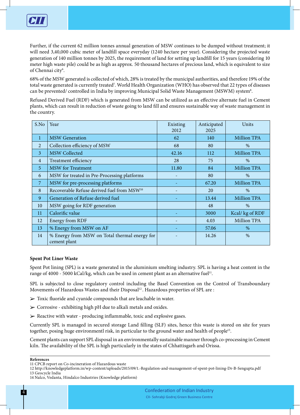

Further, if the current 62 million tonnes annual generation of MSW continues to be dumped without treatment; it will need 3,40,000 cubic meter of landfill space everyday (1240 hectare per year). Considering the projected waste generation of 140 million tonnes by 2025, the requirement of land for setting up landfill for 15 years (considering 10 meter high waste pile) could be as high as approx. 50 thousand hectares of precious land, which is equivalent to size of Chennai city<sup>6</sup>.

68% of the MSW generated is collected of which, 28% is treated by the municipal authorities, and therefore 19% of the total waste generated is currently treated7 . World Health Organization (WHO) has observed that 22 types of diseases can be prevented/ controlled in India by improving Municipal Solid Waste Management (MSWM) system $^{\rm 8}.$ 

Refused Derived Fuel (RDF) which is generated from MSW can be utilized as an effective alternate fuel in Cement plants, which can result in reduction of waste going to land fill and ensures sustainable way of waste management in the country.

| S.No           | Year                                                          | Existing<br>2012 | Anticipated<br>2025 | Units              |
|----------------|---------------------------------------------------------------|------------------|---------------------|--------------------|
| $\mathbf{1}$   | <b>MSW</b> Generation                                         | 62               | 140                 | <b>Million TPA</b> |
| 2              | Collection efficiency of MSW                                  | 68               | 80                  | $\%$               |
| $\overline{3}$ | <b>MSW Collected</b>                                          | 42.16            | 112                 | <b>Million TPA</b> |
| $\overline{4}$ | Treatment efficiency                                          | 28               | 75                  | $\%$               |
| 5              | <b>MSW</b> for Treatment                                      | 11.80            | 84                  | <b>Million TPA</b> |
| 6              | MSW for treated in Pre-Processing platforms                   |                  | 80                  | $\%$               |
| 7              | MSW for pre-processing platforms                              |                  | 67.20               | <b>Million TPA</b> |
| 8              | Recoverable Refuse derived fuel from MSW <sup>10</sup>        |                  | 20                  | $\%$               |
| 9              | Generation of Refuse derived fuel                             |                  | 13.44               | <b>Million TPA</b> |
| 10             | MSW going for RDF generation                                  |                  | 48                  | $\%$               |
| 11             | Calorific value                                               |                  | 3000                | Kcal/ kg of RDF    |
| 12             | Energy from RDF                                               | $\overline{a}$   | 4.03                | <b>Million TPA</b> |
| 13             | % Energy from MSW on AF                                       |                  | 57.06               | $\%$               |
| 14             | % Energy from MSW on Total thermal energy for<br>cement plant |                  | 14.26               | $\%$               |

## **Spent Pot Liner Waste**

Spent Pot lining (SPL) is a waste generated in the aluminium smelting industry. SPL is having a heat content in the range of 4000 - 5000 kCal/kg, which can be used in cement plant as an alternative fuel<sup>11</sup>.

SPL is subjected to close regulatory control including the Basel Convention on the Control of Transboundary Movements of Hazardous Wastes and their Disposal<sup>12</sup>. Hazardous properties of SPL are :

- $\triangleright$  Toxic fluoride and cyanide compounds that are leachable in water.
- $\triangleright$  Corrosive exhibiting high pH due to alkali metals and oxides.
- $\triangleright$  Reactive with water producing inflammable, toxic and explosive gases.

Currently SPL is managed in secured storage Land filling (SLF) sites, hence this waste is stored on site for years together, posing huge environmentl risk, in particular to the ground water and health of people<sup>13</sup>.

Cement plants can support SPL disposal in an environmentally sustainable manner through co-processing in Cement kiln. The availability of the SPL is high particularly in the states of Chhattisgarh and Orissa.

#### **References**

<sup>11</sup> CPCB report on Co-incineration of Hazardous waste

<sup>12</sup> http://knowledgeplatform.in/wp-content/uploads/2015/09/1.-Regulation-and-management-of-spent-pot-lining-Dr-B-Sengupta.pdf 13 Geocycle India

<sup>14</sup> Nalco, Vedanta, Hindalco Industries (Knowledge platform)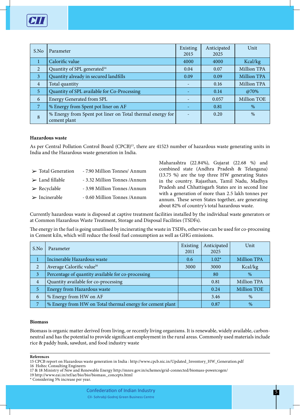

| S.No           | Parameter                                                                 | Existing<br>2015 | Anticipated<br>2025 | Unit               |
|----------------|---------------------------------------------------------------------------|------------------|---------------------|--------------------|
|                | Calorific value                                                           | 4000             | 4000                | Kcal/kg            |
| 2              | Quantity of SPL generated <sup>14</sup>                                   | 0.04             | 0.07                | <b>Million TPA</b> |
| $\mathbf{3}$   | Quantity already in secured landfills                                     | 0.09             | 0.09                | <b>Million TPA</b> |
| $\overline{4}$ | Total quantity                                                            |                  | 0.16                | <b>Million TPA</b> |
| $\sqrt{5}$     | Quantity of SPL available for Co-Processing                               |                  | 0.14                | @70%               |
| 6              | <b>Energy Generated from SPL</b>                                          |                  | 0.057               | Million TOE        |
| 7              | % Energy from Spent pot liner on AF                                       |                  | 0.81                | $\%$               |
| 8              | % Energy from Spent pot liner on Total thermal energy for<br>cement plant |                  | 0.20                | $\%$               |

#### **Hazardous waste**

As per Central Pollution Control Board (CPCB)<sup>15</sup>, there are 41523 number of hazardous waste generating units in India and the Hazardous waste generation in India.

- ► Total Generation 7.90 Million Tonnes/ Annum
- $\geq$  Land fillable  $-3.32$  Million Tonnes /Annum
- ► Recyclable 3.98 Million Tonnes /Annum
- $\triangleright$  Incinerable 0.60 Million Tonnes /Annum

Maharashtra (22.84%), Gujarat (22.68 %) and combined state (Andhra Pradesh & Telangana) (13.75 %) are the top three HW generating States in the country. Rajasthan, Tamil Nadu, Madhya Pradesh and Chhattisgarh States are in second line with a generation of more than 2.5 lakh tonnes per annum. These seven States together, are generating about 82% of country's total hazardous waste.

Currently hazardous waste is disposed at captive treatment facilities installed by the individual waste generators or at Common Hazardous Waste Treatment, Storage and Disposal Facilities (TSDFs).

The energy in the fuel is going unutilised by incinerating the waste in TSDFs, otherwise can be used for co-processing in Cement kiln, which will reduce the fossil fuel consumption as well as GHG emissions.

| S.No           | Parameter                                                 | Existing<br>2011 | Anticipated<br>2025 | Unit               |
|----------------|-----------------------------------------------------------|------------------|---------------------|--------------------|
|                | Incinerable Hazardous waste                               | 0.6              | $1.02*$             | <b>Million TPA</b> |
| 2              | Average Calorific value <sup>16</sup>                     | 3000             | 3000                | Kcal/kg            |
| 3              | Percentage of quantity available for co-processing        |                  | 80                  | $\%$               |
| $\overline{4}$ | Quantity available for co-processing                      |                  | 0.81                | Million TPA        |
| 5              | Energy from Hazardous waste                               |                  | 0.24                | <b>Million TOE</b> |
| 6              | % Energy from HW on AF                                    |                  | 3.46                | %                  |
|                | % Energy from HW on Total thermal energy for cement plant |                  | 0.87                | %                  |

#### **Biomass**

Biomass is organic matter derived from living, or recently living organisms. It is renewable, widely available, carbonneutral and has the potential to provide significant employment in the rural areas. Commonly used materials include rice & paddy husk, sawdust, and food industry waste

**References**

16 Holtec Consulting Engineers

19 http://www.eai.in/ref/ae/bio/bio/biomass\_concepts.html

<sup>15</sup> CPCB report on Hazardous waste generation in India : http://www.cpcb.nic.in/Updated\_Inventory\_HW\_Generation.pdf

<sup>17 &</sup>amp; 18 Ministry of New and Renewable Energy http://mnre.gov.in/schemes/grid-connected/biomass-powercogen/

<sup>\*</sup> Considering 5% increase per year.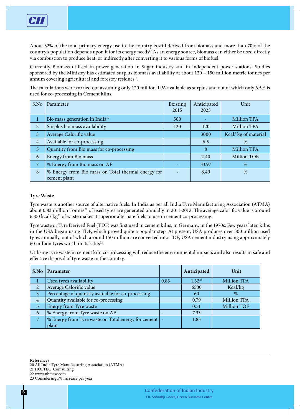

About 32% of the total primary energy use in the country is still derived from biomass and more than 70% of the country's population depends upon it for its energy needs<sup>17</sup>. As an energy source, biomass can either be used directly via combustion to produce heat, or indirectly after converting it to various forms of biofuel.

Currently Biomass utilised in power generation in Sugar industry and in independent power stations. Studies sponsored by the Ministry has estimated surplus biomass availability at about 120 – 150 million metric tonnes per annum covering agricultural and forestry residues<sup>18</sup>.

The calculations were carried out assuming only 120 million TPA available as surplus and out of which only 6.5% is used for co-processing in Cement kilns.

| S.No           | Parameter                                                          | Existing<br>2015 | Anticipated<br>2025 | Unit                |
|----------------|--------------------------------------------------------------------|------------------|---------------------|---------------------|
|                | Bio mass generation in India <sup>19</sup>                         | 500              |                     | <b>Million TPA</b>  |
| 2              | Surplus bio mass availability                                      | 120              | 120                 | <b>Million TPA</b>  |
| $\mathfrak{Z}$ | Average Calorific value                                            |                  | 3000                | Kcal/kg of material |
| $\overline{4}$ | Available for co-processing                                        |                  | 6.5                 | $\%$                |
| 5              | Quantity from Bio mass for co-processing                           |                  | 8                   | <b>Million TPA</b>  |
| 6              | Energy from Bio mass                                               |                  | 2.40                | <b>Million TOE</b>  |
| 7              | % Energy from Bio mass on AF                                       |                  | 33.97               | %                   |
| 8              | % Energy from Bio mass on Total thermal energy for<br>cement plant |                  | 8.49                | $\%$                |

## **Tyre Waste**

Tyre waste is another source of alternative fuels. In India as per all India Tyre Manufacturing Association (ATMA) about 0.83 million Tonnes<sup>20</sup> of used tyres are generated annually in 2011-2012. The average calorific value is around 6500 kcal/ $kg<sup>21</sup>$  of waste makes it superior alternate fuels to use in cement co-processing.

Tyre waste or Tyre Derived Fuel (TDF) was first used in cement kilns, in Germany, in the 1970s. Few years later, kilns in the USA began using TDF, which proved quite a popular step. At present, USA produces over 300 million used tyres annually, out of which around 150 million are converted into TDF, USA cement industry using approximately 60 million tyres worth in its kilns<sup>22</sup>.

Utilising tyre waste in cement kiln co-processing will reduce the environmental impacts and also results in safe and effective disposal of tyre waste in the country.

| S.No           | <b>Parameter</b>                                        |      | Anticipated | Unit               |
|----------------|---------------------------------------------------------|------|-------------|--------------------|
|                | Used tyres availability                                 | 0.83 | $1.32^{23}$ | <b>Million TPA</b> |
| 2              | Average Calorific value                                 |      | 6500        | Kcal/kg            |
| 3              | Percentage of quantity available for co-processing      |      | 60          | $\%$               |
| $\overline{4}$ | Quantity available for co-processing                    |      | 0.79        | Million TPA        |
| 5              | Energy from Tyre waste                                  |      | 0.51        | <b>Million TOE</b> |
| 6              | % Energy from Tyre waste on AF                          |      | 7.33        |                    |
| $\overline{7}$ | % Energy from Tyre waste on Total energy for cement   - |      | 1.83        |                    |
|                | plant                                                   |      |             |                    |

**References** 

21 HOLTEC Comsulting

<sup>20</sup> All India Tyre Manufacturing Association (ATMA)

<sup>22</sup> www.nbmcw.com

<sup>23</sup> Considering 5% increase per year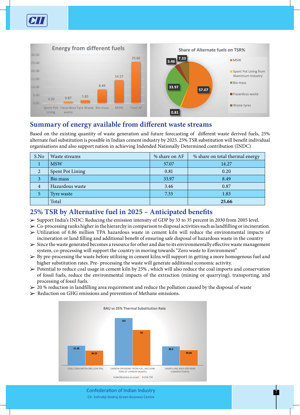



# **Summary of energy available from different waste streams**

Based on the existing quantity of waste generation and future forecasting of different waste derived fuels, 25% alternate fuel substitution is possible in Indian cement industry by 2025. 25% TSR substitution will benefit individual organisations and also support nation in achieving Indended Nationally Determined contribution (INDC)

| S.No | Waste streams    | % share on AF | % share on total thermal energy |
|------|------------------|---------------|---------------------------------|
|      | <b>MSW</b>       | 57.07         | 14.27                           |
| 2    | Spent Pot Lining | 0.81          | 0.20                            |
|      | Bio mass         | 33.97         | 8.49                            |
| 4    | Hazardous waste  | 3.46          | 0.87                            |
|      | Tyre waste       | 7.33          | 1.83                            |
|      | Total            |               | 25.66                           |

# **25% TSR by Alternative fuel in 2025 – Anticipated benefits**

- ► Support India's INDC: Reducing the emission intensity of GDP by 33 to 35 percent in 2030 from 2005 level.
- $\triangleright$  Co-processing ranks higher in the hierarchy in comparison to disposal activities such as landfilling or incineration.
- $\geq$  Utilization of 0.86 million TPA hazardous waste in cement kiln will reduce the environmental impacts of incineration or land filling and additional benefit of ensuring safe disposal of hazardous waste in the country
- $\geq$  Since the waste generated becomes a resource for other and due to its environmentally effective waste management system, co-processing will support the country in moving towards "Zero waste to Environment"
- $\triangleright$  By pre-processing the waste before utilizing in cement kilns will support in getting a more homogenous fuel and higher substitution rates. Pre- processing the waste will generate additional economic activity.
- $\triangleright$  Potential to reduce coal usage in cement kiln by 25%, which will also reduce the coal imports and conservation of fossil fuels, reduce the environmental impacts of the extraction (mining or quarrying), transporting, and processing of fossil fuels.
- $\geq$  20 % reduction in landfilling area requirement and reduce the pollution caused by the disposal of waste
- $\triangleright$  Reduction on GHG emissions and prevention of Methane emissions.



Confederation of Indian Industry 7 Confederation of Indian Industry CII- Sohrabji Godrej Green Business Centre